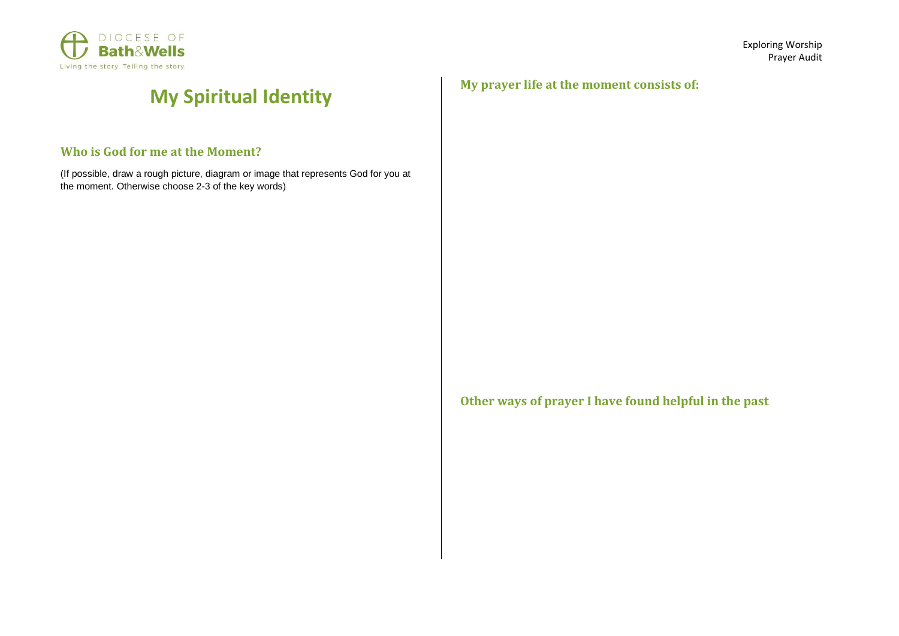

## **My Spiritual Identity**

## **Who is God for me at the Moment?**

(If possible, draw a rough picture, diagram or image that represents God for you at the moment. Otherwise choose 2-3 of the key words)

**My prayer life at the moment consists of:**

**Other ways of prayer I have found helpful in the past**